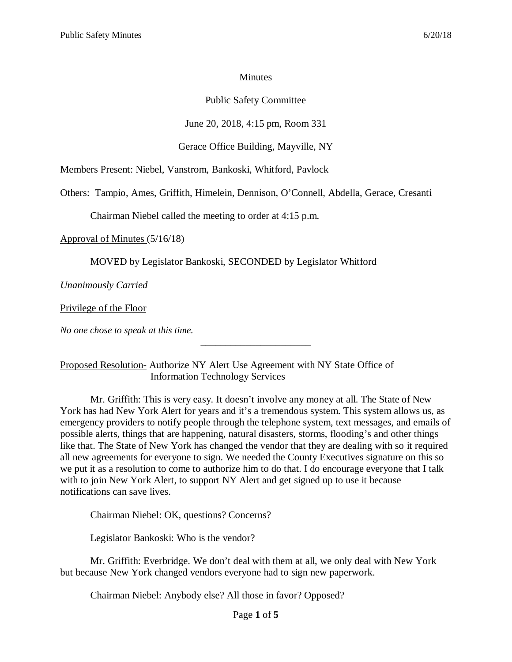#### **Minutes**

## Public Safety Committee

# June 20, 2018, 4:15 pm, Room 331

## Gerace Office Building, Mayville, NY

Members Present: Niebel, Vanstrom, Bankoski, Whitford, Pavlock

Others: Tampio, Ames, Griffith, Himelein, Dennison, O'Connell, Abdella, Gerace, Cresanti

Chairman Niebel called the meeting to order at 4:15 p.m.

Approval of Minutes (5/16/18)

MOVED by Legislator Bankoski, SECONDED by Legislator Whitford

*Unanimously Carried*

Privilege of the Floor

*No one chose to speak at this time.*

Proposed Resolution- Authorize NY Alert Use Agreement with NY State Office of Information Technology Services

Mr. Griffith: This is very easy. It doesn't involve any money at all. The State of New York has had New York Alert for years and it's a tremendous system. This system allows us, as emergency providers to notify people through the telephone system, text messages, and emails of possible alerts, things that are happening, natural disasters, storms, flooding's and other things like that. The State of New York has changed the vendor that they are dealing with so it required all new agreements for everyone to sign. We needed the County Executives signature on this so we put it as a resolution to come to authorize him to do that. I do encourage everyone that I talk with to join New York Alert, to support NY Alert and get signed up to use it because notifications can save lives.

\_\_\_\_\_\_\_\_\_\_\_\_\_\_\_\_\_\_\_\_\_\_

Chairman Niebel: OK, questions? Concerns?

Legislator Bankoski: Who is the vendor?

Mr. Griffith: Everbridge. We don't deal with them at all, we only deal with New York but because New York changed vendors everyone had to sign new paperwork.

Chairman Niebel: Anybody else? All those in favor? Opposed?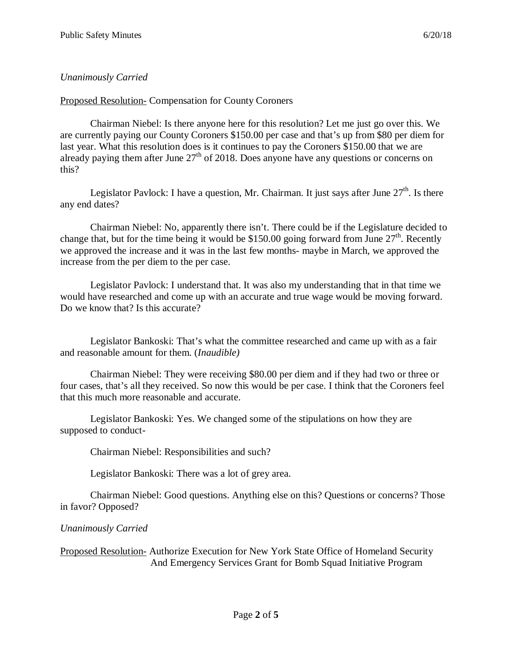# *Unanimously Carried*

Proposed Resolution- Compensation for County Coroners

Chairman Niebel: Is there anyone here for this resolution? Let me just go over this. We are currently paying our County Coroners \$150.00 per case and that's up from \$80 per diem for last year. What this resolution does is it continues to pay the Coroners \$150.00 that we are already paying them after June  $27<sup>th</sup>$  of 2018. Does anyone have any questions or concerns on this?

Legislator Pavlock: I have a question, Mr. Chairman. It just says after June  $27<sup>th</sup>$ . Is there any end dates?

Chairman Niebel: No, apparently there isn't. There could be if the Legislature decided to change that, but for the time being it would be \$150.00 going forward from June  $27<sup>th</sup>$ . Recently we approved the increase and it was in the last few months- maybe in March, we approved the increase from the per diem to the per case.

Legislator Pavlock: I understand that. It was also my understanding that in that time we would have researched and come up with an accurate and true wage would be moving forward. Do we know that? Is this accurate?

Legislator Bankoski: That's what the committee researched and came up with as a fair and reasonable amount for them. (*Inaudible)*

Chairman Niebel: They were receiving \$80.00 per diem and if they had two or three or four cases, that's all they received. So now this would be per case. I think that the Coroners feel that this much more reasonable and accurate.

Legislator Bankoski: Yes. We changed some of the stipulations on how they are supposed to conduct-

Chairman Niebel: Responsibilities and such?

Legislator Bankoski: There was a lot of grey area.

Chairman Niebel: Good questions. Anything else on this? Questions or concerns? Those in favor? Opposed?

# *Unanimously Carried*

Proposed Resolution- Authorize Execution for New York State Office of Homeland Security And Emergency Services Grant for Bomb Squad Initiative Program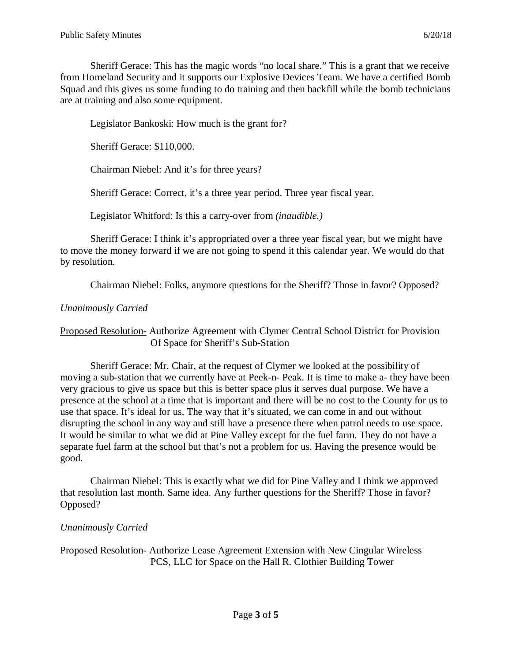Sheriff Gerace: This has the magic words "no local share." This is a grant that we receive from Homeland Security and it supports our Explosive Devices Team. We have a certified Bomb Squad and this gives us some funding to do training and then backfill while the bomb technicians are at training and also some equipment.

Legislator Bankoski: How much is the grant for?

Sheriff Gerace: \$110,000.

Chairman Niebel: And it's for three years?

Sheriff Gerace: Correct, it's a three year period. Three year fiscal year.

Legislator Whitford: Is this a carry-over from *(inaudible.)*

Sheriff Gerace: I think it's appropriated over a three year fiscal year, but we might have to move the money forward if we are not going to spend it this calendar year. We would do that by resolution.

Chairman Niebel: Folks, anymore questions for the Sheriff? Those in favor? Opposed?

## *Unanimously Carried*

Proposed Resolution- Authorize Agreement with Clymer Central School District for Provision Of Space for Sheriff's Sub-Station

Sheriff Gerace: Mr. Chair, at the request of Clymer we looked at the possibility of moving a sub-station that we currently have at Peek-n- Peak. It is time to make a- they have been very gracious to give us space but this is better space plus it serves dual purpose. We have a presence at the school at a time that is important and there will be no cost to the County for us to use that space. It's ideal for us. The way that it's situated, we can come in and out without disrupting the school in any way and still have a presence there when patrol needs to use space. It would be similar to what we did at Pine Valley except for the fuel farm. They do not have a separate fuel farm at the school but that's not a problem for us. Having the presence would be good.

Chairman Niebel: This is exactly what we did for Pine Valley and I think we approved that resolution last month. Same idea. Any further questions for the Sheriff? Those in favor? Opposed?

#### *Unanimously Carried*

Proposed Resolution- Authorize Lease Agreement Extension with New Cingular Wireless PCS, LLC for Space on the Hall R. Clothier Building Tower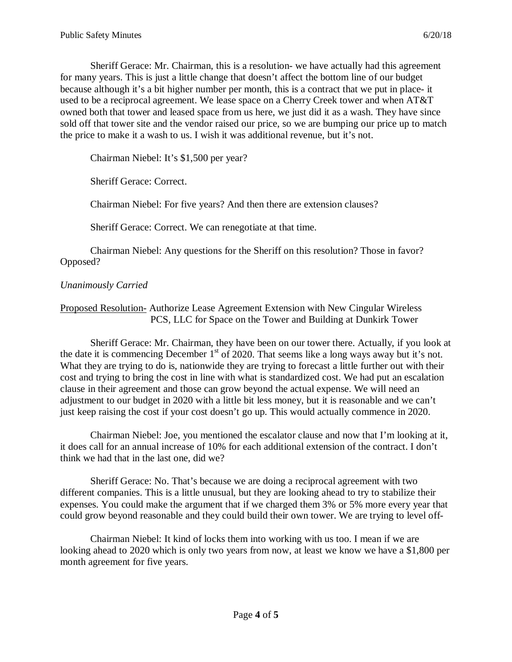Sheriff Gerace: Mr. Chairman, this is a resolution- we have actually had this agreement for many years. This is just a little change that doesn't affect the bottom line of our budget because although it's a bit higher number per month, this is a contract that we put in place- it used to be a reciprocal agreement. We lease space on a Cherry Creek tower and when AT&T owned both that tower and leased space from us here, we just did it as a wash. They have since sold off that tower site and the vendor raised our price, so we are bumping our price up to match the price to make it a wash to us. I wish it was additional revenue, but it's not.

Chairman Niebel: It's \$1,500 per year?

Sheriff Gerace: Correct.

Chairman Niebel: For five years? And then there are extension clauses?

Sheriff Gerace: Correct. We can renegotiate at that time.

Chairman Niebel: Any questions for the Sheriff on this resolution? Those in favor? Opposed?

## *Unanimously Carried*

## Proposed Resolution- Authorize Lease Agreement Extension with New Cingular Wireless PCS, LLC for Space on the Tower and Building at Dunkirk Tower

Sheriff Gerace: Mr. Chairman, they have been on our tower there. Actually, if you look at the date it is commencing December  $1<sup>st</sup>$  of 2020. That seems like a long ways away but it's not. What they are trying to do is, nationwide they are trying to forecast a little further out with their cost and trying to bring the cost in line with what is standardized cost. We had put an escalation clause in their agreement and those can grow beyond the actual expense. We will need an adjustment to our budget in 2020 with a little bit less money, but it is reasonable and we can't just keep raising the cost if your cost doesn't go up. This would actually commence in 2020.

Chairman Niebel: Joe, you mentioned the escalator clause and now that I'm looking at it, it does call for an annual increase of 10% for each additional extension of the contract. I don't think we had that in the last one, did we?

Sheriff Gerace: No. That's because we are doing a reciprocal agreement with two different companies. This is a little unusual, but they are looking ahead to try to stabilize their expenses. You could make the argument that if we charged them 3% or 5% more every year that could grow beyond reasonable and they could build their own tower. We are trying to level off-

Chairman Niebel: It kind of locks them into working with us too. I mean if we are looking ahead to 2020 which is only two years from now, at least we know we have a \$1,800 per month agreement for five years.